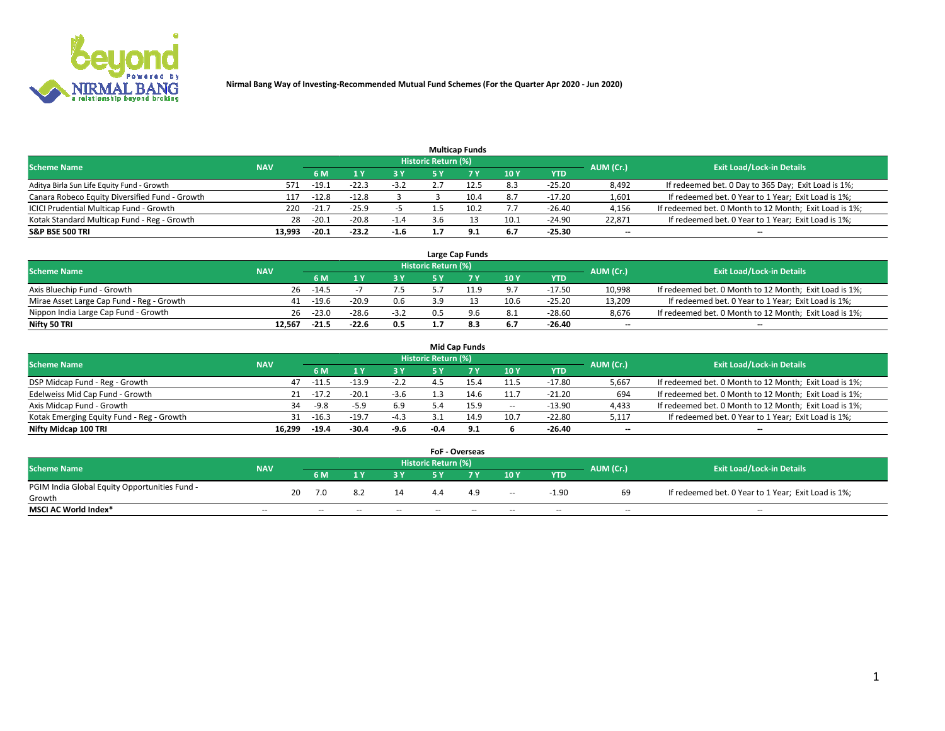

|                                                |            |         |         |        |                     | <b>Multicap Funds</b> |      |          |                          |                                                        |
|------------------------------------------------|------------|---------|---------|--------|---------------------|-----------------------|------|----------|--------------------------|--------------------------------------------------------|
| <b>Scheme Name</b>                             | <b>NAV</b> |         |         |        | Historic Return (%) |                       |      |          | AUM (Cr.)                | <b>Exit Load/Lock-in Details</b>                       |
|                                                |            | 6 M     |         | 3 Y    | 5 Y                 |                       | 10Y  | YTD      |                          |                                                        |
| Aditya Birla Sun Life Equity Fund - Growth     | 571        | $-19.1$ | $-22.3$ | $-3.2$ |                     | 12.5                  | 8.3  | $-25.20$ | 8,492                    | If redeemed bet. 0 Day to 365 Day; Exit Load is 1%;    |
| Canara Robeco Equity Diversified Fund - Growth | 117        | $-12.8$ | $-12.8$ |        |                     | 10.4                  | 8.7  | $-17.20$ | 1,601                    | If redeemed bet. 0 Year to 1 Year; Exit Load is 1%;    |
| ICICI Prudential Multicap Fund - Growth        | 220        | $-21.7$ | $-25.9$ |        |                     | 10.2                  | 7.7  | $-26.40$ | 4,156                    | If redeemed bet. 0 Month to 12 Month; Exit Load is 1%; |
| Kotak Standard Multicap Fund - Reg - Growth    | 28         | $-20.1$ | $-20.8$ | $-1.4$ |                     |                       | 10.1 | $-24.90$ | 22.871                   | If redeemed bet. 0 Year to 1 Year; Exit Load is 1%;    |
| <b>S&amp;P BSE 500 TRI</b>                     | 13.993     | $-20.1$ | $-23.2$ | $-1.6$ |                     | 9.1                   | 6.7  | $-25.30$ | $\overline{\phantom{a}}$ | --                                                     |

|                                           |            |         |         |        |                            | Large Cap Funds |      |            |           |                                                        |
|-------------------------------------------|------------|---------|---------|--------|----------------------------|-----------------|------|------------|-----------|--------------------------------------------------------|
| <b>Scheme Name</b>                        | <b>NAV</b> |         |         |        | <b>Historic Return (%)</b> |                 |      |            | AUM (Cr.) | <b>Exit Load/Lock-in Details</b>                       |
|                                           |            | 6 M     |         | 2 V.   | ςv                         |                 | 10Y  | <b>YTD</b> |           |                                                        |
| Axis Bluechip Fund - Growth               | 26         | $-14.5$ |         |        |                            |                 | 9.7  | $-17.50$   | 10,998    | If redeemed bet. 0 Month to 12 Month; Exit Load is 1%; |
| Mirae Asset Large Cap Fund - Reg - Growth | 41         | $-19.6$ | $-20.9$ | 0.6    | 3.9                        | $1^{\circ}$     | 10.6 | $-25.20$   | 13,209    | If redeemed bet. 0 Year to 1 Year; Exit Load is 1%;    |
| Nippon India Large Cap Fund - Growth      | 26         | $-23.0$ | $-28.6$ | $-3.2$ | 0.5                        | 9.6             | 8.1  | $-28.60$   | 8.676     | If redeemed bet. 0 Month to 12 Month; Exit Load is 1%; |
| Nifty 50 TRI                              | 12.567     | $-21.5$ | $-22.6$ | 0.5    |                            | 8.3             | 6.7  | $-26.40$   | --        | $- -$                                                  |

|                                           |            |         |         |        |                            | <b>Mid Cap Funds</b> |       |            |                          |                                                        |
|-------------------------------------------|------------|---------|---------|--------|----------------------------|----------------------|-------|------------|--------------------------|--------------------------------------------------------|
| <b>Scheme Name</b>                        | <b>NAV</b> |         |         |        | <b>Historic Return (%)</b> |                      |       |            | AUM (Cr.)                | <b>Exit Load/Lock-in Details</b>                       |
|                                           |            | 6 M     |         | 3 Y    | 5 Y                        |                      | 10 Y  | <b>YTD</b> |                          |                                                        |
| DSP Midcap Fund - Reg - Growth            | 47         | $-11.5$ | $-13.9$ | $-2.2$ |                            | 15.4                 | 11.5  | $-17.80$   | 5,667                    | If redeemed bet. 0 Month to 12 Month; Exit Load is 1%; |
| Edelweiss Mid Cap Fund - Growth           | 21         | $-17.2$ | $-20.1$ | $-3.6$ |                            | 14.6                 | 11.7  | $-21.20$   | 694                      | If redeemed bet. 0 Month to 12 Month; Exit Load is 1%; |
| Axis Midcap Fund - Growth                 | 34         | $-9.8$  | $-5.9$  | 6.9    |                            | 15.9                 | $\!-$ | $-13.90$   | 4,433                    | If redeemed bet. 0 Month to 12 Month; Exit Load is 1%; |
| Kotak Emerging Equity Fund - Reg - Growth | 31         | $-16.3$ | $-19.7$ | $-4.3$ |                            | 14.9                 | 10.7  | $-22.80$   | 5,117                    | If redeemed bet. 0 Year to 1 Year; Exit Load is 1%;    |
| Nifty Midcap 100 TRI                      | 16.299     | $-19.4$ | $-30.4$ | -9.6   | $-0.4$                     | 9.1                  |       | $-26.40$   | $\overline{\phantom{m}}$ | $- -$                                                  |

|                                               |                          |    |        |       |       |                            | <b>FoF - Overseas</b> |                          |            |                          |                                                     |
|-----------------------------------------------|--------------------------|----|--------|-------|-------|----------------------------|-----------------------|--------------------------|------------|--------------------------|-----------------------------------------------------|
| <b>Scheme Name</b>                            | <b>NAV</b>               |    |        |       |       | <b>Historic Return (%)</b> |                       |                          |            | AUM (Cr.)                | <b>Exit Load/Lock-in Details</b>                    |
|                                               |                          |    | 6 M    |       | 2 V.  | E V                        |                       | 10Y                      | <b>YTD</b> |                          |                                                     |
| PGIM India Global Equity Opportunities Fund - |                          | 20 | 7.0    | 8.2   | 14    | 4.4                        | 4.9                   |                          | $-1.90$    | 69                       | If redeemed bet. 0 Year to 1 Year; Exit Load is 1%; |
| Growth                                        |                          |    |        |       |       |                            |                       | $- -$                    |            |                          |                                                     |
| <b>MSCI AC World Index*</b>                   | $\overline{\phantom{a}}$ |    | $\sim$ | $- -$ | $- -$ | $\sim$                     | $- -$                 | $\overline{\phantom{a}}$ | $\sim$     | $\overline{\phantom{m}}$ | $\sim$                                              |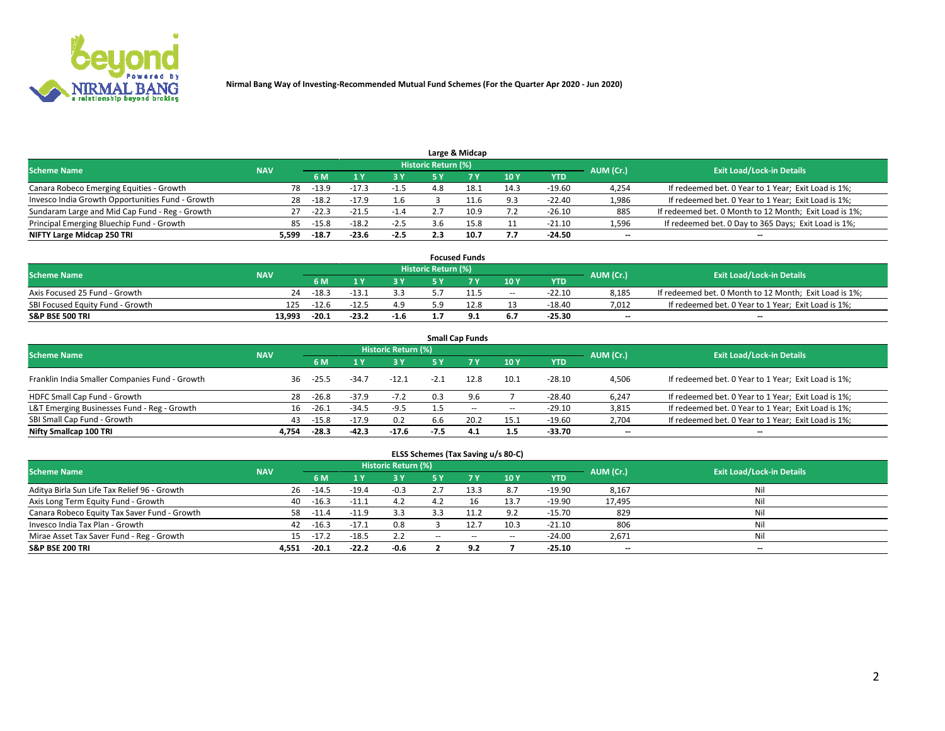

|                                                  |            |         |         |        |                     | Large & Midcap |      |            |           |                                                        |
|--------------------------------------------------|------------|---------|---------|--------|---------------------|----------------|------|------------|-----------|--------------------------------------------------------|
| <b>Scheme Name</b>                               | <b>NAV</b> |         |         |        | Historic Return (%) |                |      |            | AUM (Cr.) | <b>Exit Load/Lock-in Details</b>                       |
|                                                  |            | 6 M     |         | 3 Y    | 5٧                  |                | 10Y  | <b>YTD</b> |           |                                                        |
| Canara Robeco Emerging Equities - Growth         | 78         | $-13.9$ |         | $-1.5$ | 4.8                 |                | 14.3 | $-19.60$   | 4,254     | If redeemed bet. 0 Year to 1 Year; Exit Load is 1%;    |
| Invesco India Growth Opportunities Fund - Growth | 28         | $-18.2$ | $-17.9$ | 1.6    |                     |                | 9.3  | $-22.40$   | 1,986     | If redeemed bet. 0 Year to 1 Year; Exit Load is 1%;    |
| Sundaram Large and Mid Cap Fund - Reg - Growth   | 27         | $-22.3$ | $-21.5$ | $-1.4$ |                     | 10.9           |      | $-26.10$   | 885       | If redeemed bet. 0 Month to 12 Month; Exit Load is 1%; |
| Principal Emerging Bluechip Fund - Growth        | 85         | $-15.8$ | $-18.2$ | $-2.5$ |                     | 15.8           |      | $-21.10$   | 1,596     | If redeemed bet. 0 Day to 365 Days; Exit Load is 1%;   |
| NIFTY Large Midcap 250 TRI                       | 5,599      | $-18.7$ | $-23.6$ | $-2.5$ |                     | 10.7           | 7.7  | $-24.50$   | $- -$     | --                                                     |

|                                  |            |         |         |        |                     | <b>Focused Funds</b> |        |            |           |                                                        |
|----------------------------------|------------|---------|---------|--------|---------------------|----------------------|--------|------------|-----------|--------------------------------------------------------|
| <b>Scheme Name</b>               | <b>NAV</b> |         |         |        | Historic Return (%) |                      |        |            | AUM (Cr.) | <b>Exit Load/Lock-in Details</b>                       |
|                                  |            | 6 M     |         |        |                     |                      | 10Y    | <b>YTD</b> |           |                                                        |
| Axis Focused 25 Fund - Growth    | 24         | $-18.3$ | $-13.1$ | 3.3    |                     |                      | $\sim$ | $-22.10$   | 8.185     | If redeemed bet. 0 Month to 12 Month; Exit Load is 1%; |
| SBI Focused Equity Fund - Growth | 125        | $-12.6$ | $-12.5$ | 4.9    |                     | 12.8                 |        | -18.40     | 7.012     | If redeemed bet. 0 Year to 1 Year; Exit Load is 1%;    |
| <b>S&amp;P BSE 500 TRI</b>       | 13.993     | $-20.1$ | $-23.2$ | $-1.6$ | .                   | ۰                    | 6.7    | -25.30     | $- -$     | $\overline{\phantom{a}}$                               |

| <b>Small Cap Funds</b>                                                                                          |       |         |         |         |        |           |       |            |                          |                                                     |  |  |  |  |
|-----------------------------------------------------------------------------------------------------------------|-------|---------|---------|---------|--------|-----------|-------|------------|--------------------------|-----------------------------------------------------|--|--|--|--|
| <b>Historic Return (%)</b><br><b>Exit Load/Lock-in Details</b><br><b>Scheme Name</b><br><b>NAV</b><br>AUM (Cr.) |       |         |         |         |        |           |       |            |                          |                                                     |  |  |  |  |
|                                                                                                                 |       | 6 M     |         | 3 Y     | 5 Y    | <b>7Y</b> | 10Y   | <b>YTD</b> |                          |                                                     |  |  |  |  |
| Franklin India Smaller Companies Fund - Growth                                                                  | 36    | $-25.5$ | $-34.7$ | $-12.1$ | $-2.1$ | 12.8      | 10.1  | $-28.10$   | 4,506                    | If redeemed bet. 0 Year to 1 Year; Exit Load is 1%; |  |  |  |  |
| HDFC Small Cap Fund - Growth                                                                                    | 28    | $-26.8$ | $-37.9$ | $-7.2$  | 0.3    | 9.6       |       | $-28.40$   | 6,247                    | If redeemed bet. 0 Year to 1 Year; Exit Load is 1%; |  |  |  |  |
| L&T Emerging Businesses Fund - Reg - Growth                                                                     | 16    | $-26.1$ | $-34.5$ | $-9.5$  |        | $- -$     | $\!-$ | $-29.10$   | 3,815                    | If redeemed bet. 0 Year to 1 Year; Exit Load is 1%; |  |  |  |  |
| SBI Small Cap Fund - Growth                                                                                     | 43    | $-15.8$ | $-17.9$ | 0.2     | 6.6    | 20.2      | 15.1  | $-19.60$   | 2,704                    | If redeemed bet. 0 Year to 1 Year; Exit Load is 1%; |  |  |  |  |
| Nifty Smallcap 100 TRI                                                                                          | 4.754 | $-28.3$ | $-42.3$ | $-17.6$ | $-7.5$ | 4.1       | 1.5   | -33.70     | $\overline{\phantom{a}}$ | --                                                  |  |  |  |  |

## **ELSS Schemes (Tax Saving u/s 80-C)**

| <b>Scheme Name</b>                           | <b>NAV</b> |         |         | <b>Historic Return (%)</b> |        |      |                          |          |           | <b>Exit Load/Lock-in Details</b> |
|----------------------------------------------|------------|---------|---------|----------------------------|--------|------|--------------------------|----------|-----------|----------------------------------|
|                                              |            | 6 M     |         | 3 Y                        | 5 Y    |      | 10Y                      | YTD      | AUM (Cr.) |                                  |
| Aditya Birla Sun Life Tax Relief 96 - Growth | 26         | $-14.5$ | $-19.4$ | $-0.3$                     |        | 13.3 | 8.7                      | $-19.90$ | 8,167     | Nil                              |
| Axis Long Term Equity Fund - Growth          | 40         | $-16.3$ | $-11.1$ | 4.2                        |        |      | 13.7                     | $-19.90$ | 17,495    | Nil                              |
| Canara Robeco Equity Tax Saver Fund - Growth | 58         | $-11.4$ | $-11.9$ | 3.3                        |        | 11.2 | 9.2                      | $-15.70$ | 829       | Nil                              |
| Invesco India Tax Plan - Growth              | 42         | $-16.3$ | $-17.1$ | 0.8                        |        | 12.7 | 10.3                     | $-21.10$ | 806       | Nil                              |
| Mirae Asset Tax Saver Fund - Reg - Growth    | 15         | $-17.2$ | $-18.5$ | 2.2                        | $\sim$ | $-$  | $\overline{\phantom{a}}$ | $-24.00$ | 2,671     | Nil                              |
| <b>S&amp;P BSE 200 TRI</b>                   | 4,551      | $-20.1$ | $-22.2$ | $-0.6$                     |        | 9.2  |                          | $-25.10$ | $- -$     | $\overline{\phantom{a}}$         |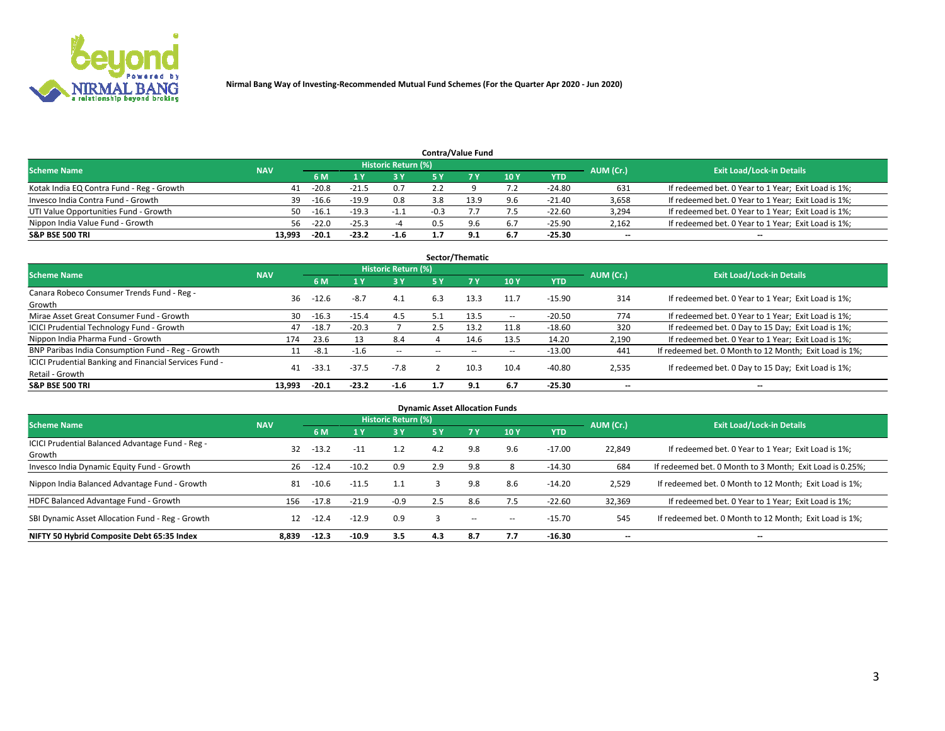

| <b>Contra/Value Fund</b>                  |            |                                  |         |        |        |      |     |            |       |                                                     |  |  |  |
|-------------------------------------------|------------|----------------------------------|---------|--------|--------|------|-----|------------|-------|-----------------------------------------------------|--|--|--|
| <b>Scheme Name</b>                        | AUM (Cr.)  | <b>Exit Load/Lock-in Details</b> |         |        |        |      |     |            |       |                                                     |  |  |  |
|                                           | <b>NAV</b> | 6 M                              |         | 73 Y.  |        |      | 10Y | <b>YTD</b> |       |                                                     |  |  |  |
| Kotak India EQ Contra Fund - Reg - Growth | 41         | $-20.8$                          | $-21.5$ | 0.7    |        |      |     | $-24.80$   | 631   | If redeemed bet. 0 Year to 1 Year; Exit Load is 1%; |  |  |  |
| Invesco India Contra Fund - Growth        | 39         | $-16.6$                          | $-19.9$ | 0.8    | 3.8    | 13.9 | 9.6 | $-21.40$   | 3,658 | If redeemed bet. 0 Year to 1 Year; Exit Load is 1%; |  |  |  |
| UTI Value Opportunities Fund - Growth     | 50         | $-16.1$                          | $-19.3$ | $-1.1$ | $-0.3$ |      | 7.5 | $-22.60$   | 3,294 | If redeemed bet. 0 Year to 1 Year; Exit Load is 1%; |  |  |  |
| Nippon India Value Fund - Growth          | 56.        | $-22.0$                          | $-25.3$ |        |        | 9.6  | 6.7 | $-25.90$   | 2,162 | If redeemed bet. 0 Year to 1 Year; Exit Load is 1%; |  |  |  |
| <b>S&amp;P BSE 500 TRI</b>                | 13.993     | $-20.1$                          | $-23.2$ | $-1.6$ |        | ۹    | 6.7 | $-25.30$   | $- -$ | $\overline{\phantom{a}}$                            |  |  |  |

| Sector/Thematic                                                           |            |         |              |                     |                          |           |                          |            |           |                                                        |  |  |  |
|---------------------------------------------------------------------------|------------|---------|--------------|---------------------|--------------------------|-----------|--------------------------|------------|-----------|--------------------------------------------------------|--|--|--|
| <b>Scheme Name</b>                                                        | <b>NAV</b> |         |              | Historic Return (%) |                          |           |                          |            | AUM (Cr.) | <b>Exit Load/Lock-in Details</b>                       |  |  |  |
|                                                                           |            | 6 M     | $\sqrt{1}$ Y | 3 Y                 | 5 Y                      | <b>7Y</b> | 10Y                      | <b>YTD</b> |           |                                                        |  |  |  |
| Canara Robeco Consumer Trends Fund - Reg -<br>Growth                      | 36         | $-12.6$ | $-8.7$       | 4.1                 | 6.3                      | 13.3      | 11.7                     | $-15.90$   | 314       | If redeemed bet. 0 Year to 1 Year; Exit Load is 1%;    |  |  |  |
| Mirae Asset Great Consumer Fund - Growth                                  | 30         | $-16.3$ | $-15.4$      | 4.5                 |                          | 13.5      | --                       | $-20.50$   | 774       | If redeemed bet. 0 Year to 1 Year; Exit Load is 1%;    |  |  |  |
| <b>ICICI Prudential Technology Fund - Growth</b>                          | 47         | $-18.7$ | $-20.3$      |                     | 2.5                      | 13.2      | 11.8                     | $-18.60$   | 320       | If redeemed bet. 0 Day to 15 Day; Exit Load is 1%;     |  |  |  |
| Nippon India Pharma Fund - Growth                                         | 174        | 23.6    |              | 8.4                 |                          | 14.6      | 13.5                     | 14.20      | 2,190     | If redeemed bet. 0 Year to 1 Year; Exit Load is 1%;    |  |  |  |
| BNP Paribas India Consumption Fund - Reg - Growth                         |            | $-8.1$  | $-1.6$       | $\sim$              | $\overline{\phantom{a}}$ | $- -$     | $\overline{\phantom{a}}$ | $-13.00$   | 441       | If redeemed bet. 0 Month to 12 Month; Exit Load is 1%; |  |  |  |
| ICICI Prudential Banking and Financial Services Fund -<br>Retail - Growth | 41         | -33.1   | $-37.5$      | $-7.8$              |                          | 10.3      | 10.4                     | $-40.80$   | 2,535     | If redeemed bet. 0 Day to 15 Day; Exit Load is 1%;     |  |  |  |
| <b>S&amp;P BSE 500 TRI</b>                                                | 13.993     | $-20.1$ | $-23.2$      | $-1.6$              | 1.7                      | 9.1       | 6.7                      | $-25.30$   | --        | $- -$                                                  |  |  |  |

| <b>Dynamic Asset Allocation Funds</b>                      |            |         |         |                            |     |                          |     |            |           |                                                          |  |  |  |
|------------------------------------------------------------|------------|---------|---------|----------------------------|-----|--------------------------|-----|------------|-----------|----------------------------------------------------------|--|--|--|
| <b>Scheme Name</b>                                         | <b>NAV</b> |         |         | <b>Historic Return (%)</b> |     |                          |     |            | AUM (Cr.) | <b>Exit Load/Lock-in Details</b>                         |  |  |  |
|                                                            |            | 6 M     |         | <b>3Y</b>                  | 5 Y | <b>7Y</b>                | 10Y | <b>YTD</b> |           |                                                          |  |  |  |
| ICICI Prudential Balanced Advantage Fund - Reg -<br>Growth | 32         | $-13.2$ | $-11$   | 1.2                        | 4.2 | 9.8                      | 9.6 | $-17.00$   | 22,849    | If redeemed bet. 0 Year to 1 Year; Exit Load is 1%;      |  |  |  |
| Invesco India Dynamic Equity Fund - Growth                 | 26         | $-12.4$ | $-10.2$ | 0.9                        | 2.9 | 9.8                      |     | -14.30     | 684       | If redeemed bet. 0 Month to 3 Month; Exit Load is 0.25%; |  |  |  |
| Nippon India Balanced Advantage Fund - Growth              | 81         | $-10.6$ | $-11.5$ | 1.1                        |     | 9.8                      | 8.6 | $-14.20$   | 2,529     | If redeemed bet. 0 Month to 12 Month; Exit Load is 1%;   |  |  |  |
| HDFC Balanced Advantage Fund - Growth                      | 156        | $-17.8$ | $-21.9$ | $-0.9$                     | 2.5 | 8.6                      | 7.5 | $-22.60$   | 32,369    | If redeemed bet. 0 Year to 1 Year; Exit Load is 1%;      |  |  |  |
| SBI Dynamic Asset Allocation Fund - Reg - Growth           | 12         | $-12.4$ | $-12.9$ | 0.9                        |     | $\overline{\phantom{a}}$ | -   | $-15.70$   | 545       | If redeemed bet. 0 Month to 12 Month; Exit Load is 1%;   |  |  |  |
| NIFTY 50 Hybrid Composite Debt 65:35 Index                 | 8.839      | $-12.3$ | $-10.9$ | 3.5                        | 4.3 | 8.7                      | 7.7 | $-16.30$   | --        | --                                                       |  |  |  |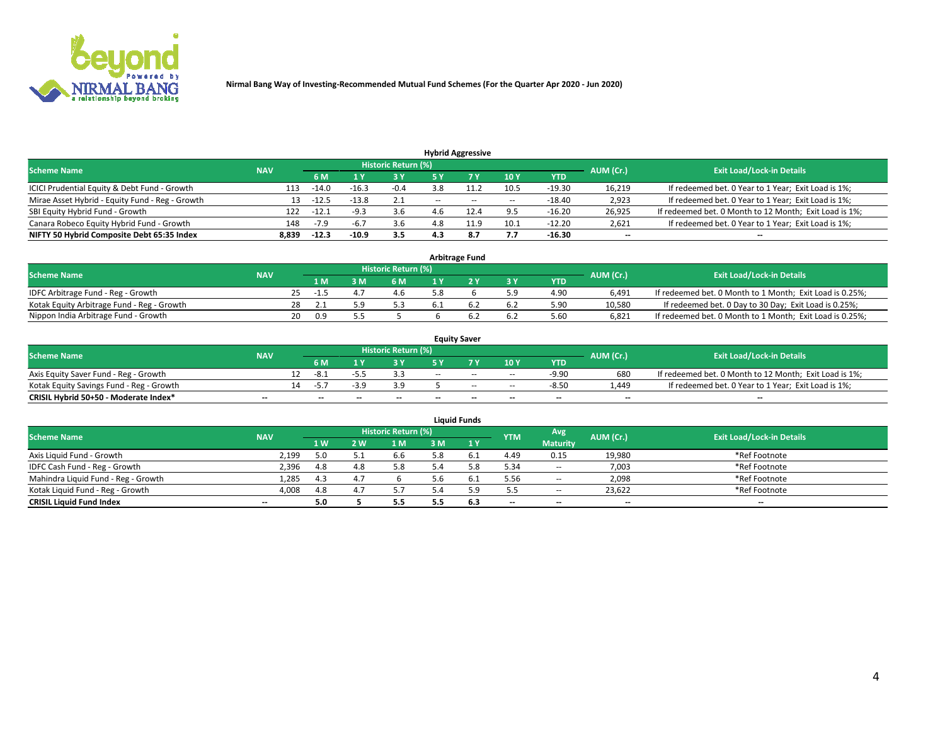

|                                                 |            |                                  |         |        |       | <b>Hybrid Aggressive</b> |                          |          |                          |                                                        |
|-------------------------------------------------|------------|----------------------------------|---------|--------|-------|--------------------------|--------------------------|----------|--------------------------|--------------------------------------------------------|
| <b>Scheme Name</b>                              | AUM (Cr.)  | <b>Exit Load/Lock-in Details</b> |         |        |       |                          |                          |          |                          |                                                        |
|                                                 | <b>NAV</b> | 6 M                              |         | 3 Y    | 5 ۷   |                          | 10Y                      | YTD      |                          |                                                        |
| ICICI Prudential Equity & Debt Fund - Growth    | 113        | $-14.0$                          | $-16.3$ | $-0.4$ |       |                          | 10.5                     | $-19.30$ | 16,219                   | If redeemed bet. 0 Year to 1 Year; Exit Load is 1%;    |
| Mirae Asset Hybrid - Equity Fund - Reg - Growth | 13         | $-12.5$                          | $-13.8$ | 2.1    | $- -$ | $- -$                    | $\overline{\phantom{a}}$ | $-18.40$ | 2,923                    | If redeemed bet. 0 Year to 1 Year; Exit Load is 1%;    |
| SBI Equity Hybrid Fund - Growth                 | 122        | $-12.1$                          | -a 3    | 3.6    |       | 12.4                     | 9.5                      | $-16.20$ | 26,925                   | If redeemed bet. 0 Month to 12 Month; Exit Load is 1%; |
| Canara Robeco Equity Hybrid Fund - Growth       | 148        | $-7.9$                           |         |        |       | 11 Q                     | 10.1                     | $-12.20$ | 2,621                    | If redeemed bet. 0 Year to 1 Year; Exit Load is 1%;    |
| NIFTY 50 Hybrid Composite Debt 65:35 Index      | 8,839      | $-12.3$                          | $-10.9$ | 3.5    | 4.3   | 8.7                      | 7.7                      | $-16.30$ | $\overline{\phantom{a}}$ | --                                                     |

| <b>Arbitrage Fund</b>                      |            |    |      |  |                     |  |  |     |            |           |                                                          |  |  |
|--------------------------------------------|------------|----|------|--|---------------------|--|--|-----|------------|-----------|----------------------------------------------------------|--|--|
| <b>Scheme Name</b>                         | <b>NAV</b> |    |      |  | Historic Return (%) |  |  |     |            | AUM (Cr.) | <b>Exit Load/Lock-in Details</b>                         |  |  |
|                                            |            |    | 1 M  |  | 6 M                 |  |  | 3 Y | <b>YTD</b> |           |                                                          |  |  |
| IDFC Arbitrage Fund - Reg - Growth         |            |    | -1.5 |  | 4.6                 |  |  |     | 4.90       | 6.491     | If redeemed bet. 0 Month to 1 Month; Exit Load is 0.25%; |  |  |
| Kotak Equity Arbitrage Fund - Reg - Growth |            | 28 |      |  | 5.3                 |  |  | 6.2 | 5.90       | 10.580    | If redeemed bet. 0 Day to 30 Day; Exit Load is 0.25%;    |  |  |
| Nippon India Arbitrage Fund - Growth       |            | 20 | 0.9  |  |                     |  |  | 6.2 | 5.60       | 6.821     | If redeemed bet. 0 Month to 1 Month; Exit Load is 0.25%; |  |  |

| <b>Equity Saver</b>                      |            |     |                          |                          |                     |        |       |                          |                          |           |                                                        |  |  |  |
|------------------------------------------|------------|-----|--------------------------|--------------------------|---------------------|--------|-------|--------------------------|--------------------------|-----------|--------------------------------------------------------|--|--|--|
| <b>Scheme Name</b>                       | <b>NAV</b> |     |                          |                          | Historic Return (%) |        |       |                          |                          | AUM (Cr.) | <b>Exit Load/Lock-in Details</b>                       |  |  |  |
|                                          |            |     | 6 M                      |                          |                     | E V    |       | 10Y                      | <b>YTD</b>               |           |                                                        |  |  |  |
| Axis Equity Saver Fund - Reg - Growth    |            |     | -8.,                     | -7.                      |                     | $-$    | $-$   | $\overline{\phantom{a}}$ | $-9.90$                  | 680       | If redeemed bet. 0 Month to 12 Month; Exit Load is 1%; |  |  |  |
| Kotak Equity Savings Fund - Reg - Growth |            | 14. | -5                       | -30                      | 3.9                 |        | $-$   | $\sim$                   | $-8.50$                  | 1.449     | If redeemed bet. 0 Year to 1 Year; Exit Load is 1%;    |  |  |  |
| CRISIL Hybrid 50+50 - Moderate Index*    | $- -$      |     | $\overline{\phantom{a}}$ | $\overline{\phantom{a}}$ | $- -$               | $\sim$ | $- -$ | $\overline{\phantom{a}}$ | $\overline{\phantom{a}}$ | $- -$     | --                                                     |  |  |  |

| <b>Liquid Funds</b>                 |                          |     |     |                            |     |           |            |                          |           |                                  |  |  |  |
|-------------------------------------|--------------------------|-----|-----|----------------------------|-----|-----------|------------|--------------------------|-----------|----------------------------------|--|--|--|
| <b>Scheme Name</b>                  | <b>NAV</b>               |     |     | <b>Historic Return (%)</b> |     |           | <b>YTM</b> | Avg                      | AUM (Cr.) | <b>Exit Load/Lock-in Details</b> |  |  |  |
|                                     |                          | 1 W | W י | 1 M                        | 3 M | 1Y        |            | <b>Maturity</b>          |           |                                  |  |  |  |
| Axis Liquid Fund - Growth           | 2,199                    | 5.0 |     | 6.6                        | 5.8 | .b.1      | 4.49       | 0.15                     | 19,980    | *Ref Footnote                    |  |  |  |
| IDFC Cash Fund - Reg - Growth       | 2,396                    | 4.8 | 4.8 | 5.8                        | - л |           | 5.34       | $\sim$                   | 7,003     | *Ref Footnote                    |  |  |  |
| Mahindra Liquid Fund - Reg - Growth | 1,285                    | 4.3 |     |                            | 5.6 | <b>b.</b> | 5.56       | $\overline{\phantom{a}}$ | 2,098     | *Ref Footnote                    |  |  |  |
| Kotak Liquid Fund - Reg - Growth    | 4,008                    | 4.8 |     | 5.7                        | 54  |           | 5.5        | $\overline{\phantom{a}}$ | 23,622    | *Ref Footnote                    |  |  |  |
| <b>CRISIL Liquid Fund Index</b>     | $\overline{\phantom{a}}$ | 5.0 |     | 5.5                        |     | 6.3       | $- -$      | $\overline{\phantom{a}}$ | $- -$     | $-$                              |  |  |  |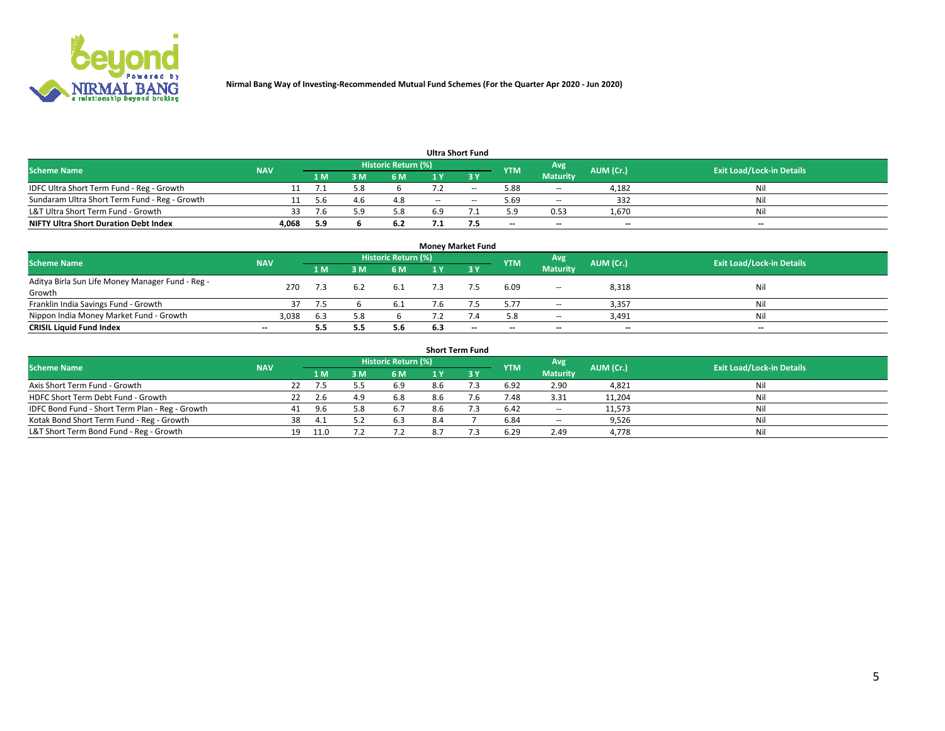

| <b>Ultra Short Fund</b>                       |            |     |  |                     |     |                          |            |                          |           |                                  |  |  |  |
|-----------------------------------------------|------------|-----|--|---------------------|-----|--------------------------|------------|--------------------------|-----------|----------------------------------|--|--|--|
| Scheme Name                                   | <b>NAV</b> |     |  | Historic Return (%) |     |                          | <b>YTM</b> | Avg                      | AUM (Cr.) | <b>Exit Load/Lock-in Details</b> |  |  |  |
|                                               |            | 1 M |  | 6 M                 |     |                          |            | <b>Maturity</b>          |           |                                  |  |  |  |
| IDFC Ultra Short Term Fund - Reg - Growth     |            |     |  |                     |     | $\overline{\phantom{m}}$ | 5.88       | $\sim$                   | 4,182     | Nil                              |  |  |  |
| Sundaram Ultra Short Term Fund - Reg - Growth |            |     |  | 4.8                 | $-$ | $\sim$                   | 5.69       | $\overline{\phantom{a}}$ | 332       | Nil                              |  |  |  |
| L&T Ultra Short Term Fund - Growth            | 33         |     |  | 5.8                 | 6.9 |                          | 5.9        | 0.53                     | 1,670     | Nil                              |  |  |  |
| <b>NIFTY Ultra Short Duration Debt Index</b>  | 4.068      | 5.9 |  | 6.2                 |     |                          | $- -$      | $\overline{\phantom{a}}$ | $- -$     | $-$                              |  |  |  |

| <b>Money Market Fund</b>                         |                          |     |     |                            |     |       |                          |                          |           |                                  |  |  |  |  |
|--------------------------------------------------|--------------------------|-----|-----|----------------------------|-----|-------|--------------------------|--------------------------|-----------|----------------------------------|--|--|--|--|
| <b>Scheme Name</b>                               | <b>NAV</b>               |     |     | <b>Historic Return (%)</b> |     |       | <b>YTM</b>               | Avg                      | AUM (Cr.) | <b>Exit Load/Lock-in Details</b> |  |  |  |  |
|                                                  |                          | 1 M | ١M  | 6 M                        |     | 3 Y   |                          | <b>Maturity</b>          |           |                                  |  |  |  |  |
| Aditya Birla Sun Life Money Manager Fund - Reg - | 270                      | 7.3 | 6.2 | 6.1                        |     |       | 6.09                     | $\overline{\phantom{a}}$ | 8,318     | Nil                              |  |  |  |  |
| Growth                                           |                          |     |     |                            |     |       |                          |                          |           |                                  |  |  |  |  |
| Franklin India Savings Fund - Growth             |                          |     |     | b.1                        |     |       | 5.77                     | $\sim$                   | 3,357     | Nil                              |  |  |  |  |
| Nippon India Money Market Fund - Growth          | 3,038                    | 6.3 |     |                            |     |       | 5.8                      | $\sim$                   | 3,491     | Nil                              |  |  |  |  |
| <b>CRISIL Liquid Fund Index</b>                  | $\overline{\phantom{a}}$ | 5.5 |     | 5.6                        | 6.3 | $- -$ | $\overline{\phantom{a}}$ | $-$                      | $- -$     | $-$                              |  |  |  |  |

| <b>Short Term Fund</b>                          |            |    |      |     |                            |     |     |            |                          |           |                                  |  |  |
|-------------------------------------------------|------------|----|------|-----|----------------------------|-----|-----|------------|--------------------------|-----------|----------------------------------|--|--|
| <b>Scheme Name</b>                              | <b>NAV</b> |    |      |     | <b>Historic Return (%)</b> |     |     | <b>YTM</b> | Avg                      | AUM (Cr.) | <b>Exit Load/Lock-in Details</b> |  |  |
|                                                 |            |    | 1 M  | 3 M | 6 M                        | 1 Y |     |            | <b>Maturity</b>          |           |                                  |  |  |
| Axis Short Term Fund - Growth                   |            | 22 | 7.5  |     | 6.9                        | 8.6 |     | 6.92       | 2.90                     | 4,821     | Nil                              |  |  |
| HDFC Short Term Debt Fund - Growth              |            |    | 2.6  | 4.9 | 6.8                        | 8.6 | 7.6 | 7.48       | 3.31                     | 11,204    | Nil                              |  |  |
| IDFC Bond Fund - Short Term Plan - Reg - Growth |            | 41 | 9.6  |     | 6.7                        | 8.6 |     | 6.42       | $\overline{\phantom{a}}$ | 11,573    | Nil                              |  |  |
| Kotak Bond Short Term Fund - Reg - Growth       |            | 38 | -4.1 |     | 6.3                        | 8.4 |     | 6.84       | $\overline{\phantom{a}}$ | 9,526     | Nil                              |  |  |
| L&T Short Term Bond Fund - Reg - Growth         |            | 19 | 11.0 |     |                            |     |     | 6.29       | 2.49                     | 4,778     | Nil                              |  |  |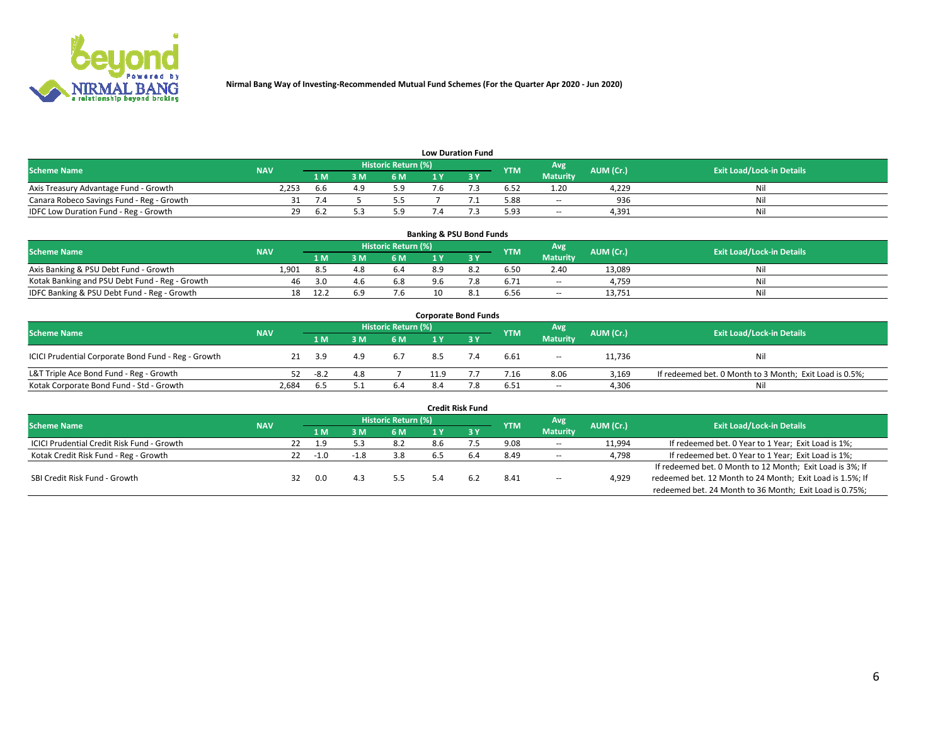

| <b>Low Duration Fund</b>                  |            |                |     |                     |  |  |            |                 |           |                                  |  |  |  |  |
|-------------------------------------------|------------|----------------|-----|---------------------|--|--|------------|-----------------|-----------|----------------------------------|--|--|--|--|
| <b>Scheme Name</b>                        | <b>NAV</b> |                |     | Historic Return (%) |  |  | <b>YTM</b> | Avg             | AUM (Cr.) | <b>Exit Load/Lock-in Details</b> |  |  |  |  |
|                                           |            | 1 M            | 3 M | 6 M                 |  |  |            | <b>Maturity</b> |           |                                  |  |  |  |  |
| Axis Treasury Advantage Fund - Growth     | 2,253      | 6.6            |     | 5.9                 |  |  | 6.52       | 1.20            | 4,229     | Nil                              |  |  |  |  |
| Canara Robeco Savings Fund - Reg - Growth |            | $\overline{1}$ |     | י ה                 |  |  | 5.88       | $\sim$          | 936       | Nil                              |  |  |  |  |
| IDFC Low Duration Fund - Reg - Growth     | 29         | 6.2            |     | 5.9                 |  |  | 5.93       | $\sim$          | 4.391     | Nil                              |  |  |  |  |

| <b>Banking &amp; PSU Bond Funds</b>            |            |      |     |                            |     |     |            |                          |           |                                  |  |  |  |  |
|------------------------------------------------|------------|------|-----|----------------------------|-----|-----|------------|--------------------------|-----------|----------------------------------|--|--|--|--|
| <b>Scheme Name</b>                             | <b>NAV</b> |      |     | <b>Historic Return (%)</b> |     |     | <b>YTM</b> | Avg                      | AUM (Cr.) | <b>Exit Load/Lock-in Details</b> |  |  |  |  |
|                                                |            | 1 M. | 8 M | 6 M                        |     |     |            | <b>Maturity</b>          |           |                                  |  |  |  |  |
| Axis Banking & PSU Debt Fund - Growth          | 1.901      | 8.5  | 4.8 | 6.4                        | 8.9 |     | 6.50       | 2.40                     | 13.089    | Ni                               |  |  |  |  |
| Kotak Banking and PSU Debt Fund - Reg - Growth | 46         | 3.0  | 4.6 | 6.8                        |     | 7.8 | 6.71       | $\overline{\phantom{a}}$ | 4.759     | Ni                               |  |  |  |  |
| IDFC Banking & PSU Debt Fund - Reg - Growth    | 18         | 12.2 |     | 7.6                        |     | 8.1 | 6.56       | $\sim$                   | 13.751    | Ni                               |  |  |  |  |

| <b>Corporate Bond Funds</b>                         |            |      |     |                     |      |     |            |                          |           |                                                         |  |  |  |  |
|-----------------------------------------------------|------------|------|-----|---------------------|------|-----|------------|--------------------------|-----------|---------------------------------------------------------|--|--|--|--|
| <b>Scheme Name</b>                                  | <b>NAV</b> |      |     | Historic Return (%) |      |     | <b>YTM</b> | Avg                      | AUM (Cr.) | <b>Exit Load/Lock-in Details</b>                        |  |  |  |  |
|                                                     |            | '1 M | 3M  | 6 M                 |      | 3Y  |            | <b>Maturity</b>          |           |                                                         |  |  |  |  |
| ICICI Prudential Corporate Bond Fund - Reg - Growth |            | -3.9 | 4.9 | 6.7                 |      | 7.4 | 6.61       | $\overline{\phantom{a}}$ | 11,736    | Nil                                                     |  |  |  |  |
| L&T Triple Ace Bond Fund - Reg - Growth             | 52         | -8.2 | 4.8 |                     | 11.9 |     | 7.16       | 8.06                     | 3,169     | If redeemed bet. 0 Month to 3 Month; Exit Load is 0.5%; |  |  |  |  |
| Kotak Corporate Bond Fund - Std - Growth            | 2,684      | 6.5  | 5.1 | 6.4                 | 8.4  | 7.8 | 6.51       | $- -$                    | 4,306     | Nil                                                     |  |  |  |  |

| <b>Credit Risk Fund</b>                           |            |    |      |  |                     |     |      |            |                          |           |                                                           |  |  |
|---------------------------------------------------|------------|----|------|--|---------------------|-----|------|------------|--------------------------|-----------|-----------------------------------------------------------|--|--|
| <b>Scheme Name</b>                                | <b>NAV</b> |    |      |  | Historic Return (%) |     |      | <b>YTM</b> | Avg<br><b>Maturity</b>   | AUM (Cr.) | <b>Exit Load/Lock-in Details</b>                          |  |  |
|                                                   |            |    | 1 M. |  | <b>6 M</b>          |     | -3 Y |            |                          |           |                                                           |  |  |
| <b>ICICI Prudential Credit Risk Fund - Growth</b> |            | 22 | 1.9  |  | 8.2                 | 8.6 |      | 9.08       | $\sim$                   | 11,994    | If redeemed bet. 0 Year to 1 Year; Exit Load is 1%;       |  |  |
| Kotak Credit Risk Fund - Reg - Growth             |            | 22 | -1.0 |  | 3.8                 |     |      | 8.49       | $\sim$                   | 4,798     | If redeemed bet. 0 Year to 1 Year; Exit Load is 1%;       |  |  |
|                                                   |            |    |      |  |                     |     |      |            |                          |           | If redeemed bet. 0 Month to 12 Month; Exit Load is 3%; If |  |  |
| SBI Credit Risk Fund - Growth                     |            | 32 | 0.0  |  | 5.5                 | 5Д  |      | 8.41       | $\overline{\phantom{a}}$ | 4,929     | redeemed bet. 12 Month to 24 Month; Exit Load is 1.5%; If |  |  |
|                                                   |            |    |      |  |                     |     |      |            |                          |           | redeemed bet. 24 Month to 36 Month; Exit Load is 0.75%;   |  |  |